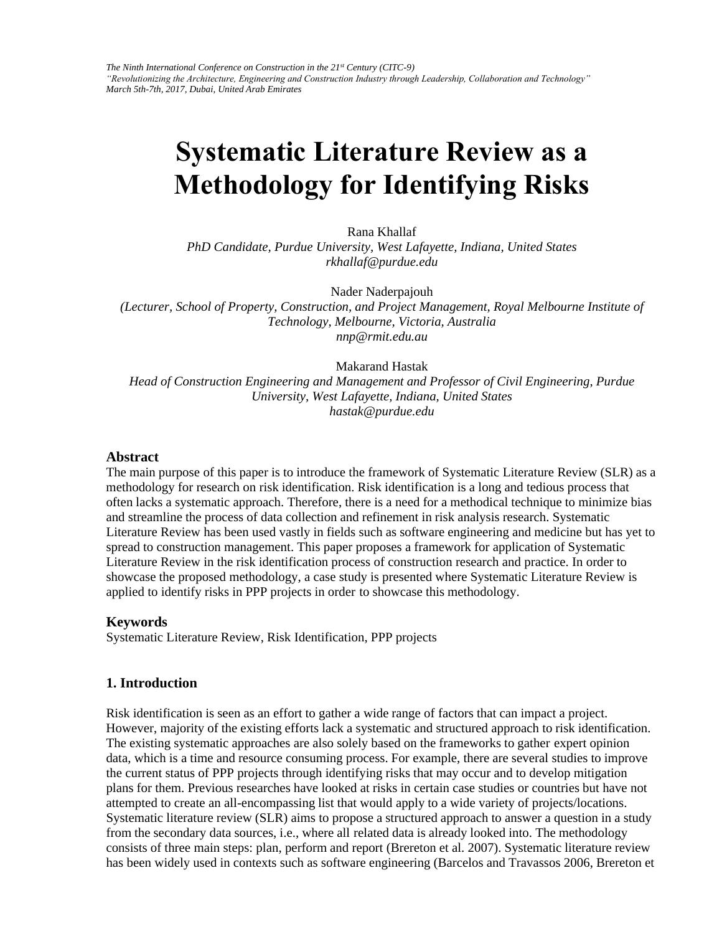# **Systematic Literature Review as a Methodology for Identifying Risks**

Rana Khallaf

*PhD Candidate, Purdue University, West Lafayette, Indiana, United States rkhallaf@purdue.edu* 

Nader Naderpajouh

*(Lecturer, School of Property, Construction, and Project Management, Royal Melbourne Institute of Technology, Melbourne, Victoria, Australia nnp@rmit.edu.au* 

Makarand Hastak

*Head of Construction Engineering and Management and Professor of Civil Engineering, Purdue University, West Lafayette, Indiana, United States hastak@purdue.edu* 

#### **Abstract**

The main purpose of this paper is to introduce the framework of Systematic Literature Review (SLR) as a methodology for research on risk identification. Risk identification is a long and tedious process that often lacks a systematic approach. Therefore, there is a need for a methodical technique to minimize bias and streamline the process of data collection and refinement in risk analysis research. Systematic Literature Review has been used vastly in fields such as software engineering and medicine but has yet to spread to construction management. This paper proposes a framework for application of Systematic Literature Review in the risk identification process of construction research and practice. In order to showcase the proposed methodology, a case study is presented where Systematic Literature Review is applied to identify risks in PPP projects in order to showcase this methodology.

## **Keywords**

Systematic Literature Review, Risk Identification, PPP projects

## **1. Introduction**

Risk identification is seen as an effort to gather a wide range of factors that can impact a project. However, majority of the existing efforts lack a systematic and structured approach to risk identification. The existing systematic approaches are also solely based on the frameworks to gather expert opinion data, which is a time and resource consuming process. For example, there are several studies to improve the current status of PPP projects through identifying risks that may occur and to develop mitigation plans for them. Previous researches have looked at risks in certain case studies or countries but have not attempted to create an all-encompassing list that would apply to a wide variety of projects/locations. Systematic literature review (SLR) aims to propose a structured approach to answer a question in a study from the secondary data sources, i.e., where all related data is already looked into. The methodology consists of three main steps: plan, perform and report (Brereton et al. 2007). Systematic literature review has been widely used in contexts such as software engineering (Barcelos and Travassos 2006, Brereton et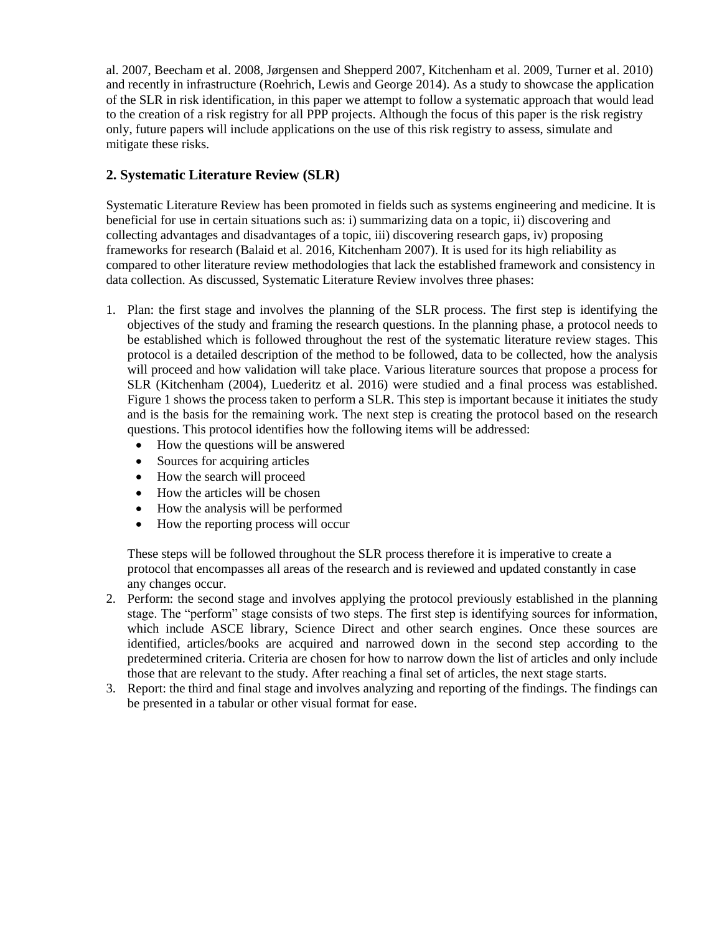al. 2007, Beecham et al. 2008, Jørgensen and Shepperd 2007, Kitchenham et al. 2009, Turner et al. 2010) and recently in infrastructure (Roehrich, Lewis and George 2014). As a study to showcase the application of the SLR in risk identification, in this paper we attempt to follow a systematic approach that would lead to the creation of a risk registry for all PPP projects. Although the focus of this paper is the risk registry only, future papers will include applications on the use of this risk registry to assess, simulate and mitigate these risks.

# **2. Systematic Literature Review (SLR)**

Systematic Literature Review has been promoted in fields such as systems engineering and medicine. It is beneficial for use in certain situations such as: i) summarizing data on a topic, ii) discovering and collecting advantages and disadvantages of a topic, iii) discovering research gaps, iv) proposing frameworks for research (Balaid et al. 2016, Kitchenham 2007). It is used for its high reliability as compared to other literature review methodologies that lack the established framework and consistency in data collection. As discussed, Systematic Literature Review involves three phases:

- 1. Plan: the first stage and involves the planning of the SLR process. The first step is identifying the objectives of the study and framing the research questions. In the planning phase, a protocol needs to be established which is followed throughout the rest of the systematic literature review stages. This protocol is a detailed description of the method to be followed, data to be collected, how the analysis will proceed and how validation will take place. Various literature sources that propose a process for SLR (Kitchenham (2004), Luederitz et al. 2016) were studied and a final process was established. Figure 1 shows the process taken to perform a SLR. This step is important because it initiates the study and is the basis for the remaining work. The next step is creating the protocol based on the research questions. This protocol identifies how the following items will be addressed:
	- How the questions will be answered
	- Sources for acquiring articles
	- How the search will proceed
	- How the articles will be chosen
	- How the analysis will be performed
	- How the reporting process will occur

These steps will be followed throughout the SLR process therefore it is imperative to create a protocol that encompasses all areas of the research and is reviewed and updated constantly in case any changes occur.

- 2. Perform: the second stage and involves applying the protocol previously established in the planning stage. The "perform" stage consists of two steps. The first step is identifying sources for information, which include ASCE library, Science Direct and other search engines. Once these sources are identified, articles/books are acquired and narrowed down in the second step according to the predetermined criteria. Criteria are chosen for how to narrow down the list of articles and only include those that are relevant to the study. After reaching a final set of articles, the next stage starts.
- 3. Report: the third and final stage and involves analyzing and reporting of the findings. The findings can be presented in a tabular or other visual format for ease.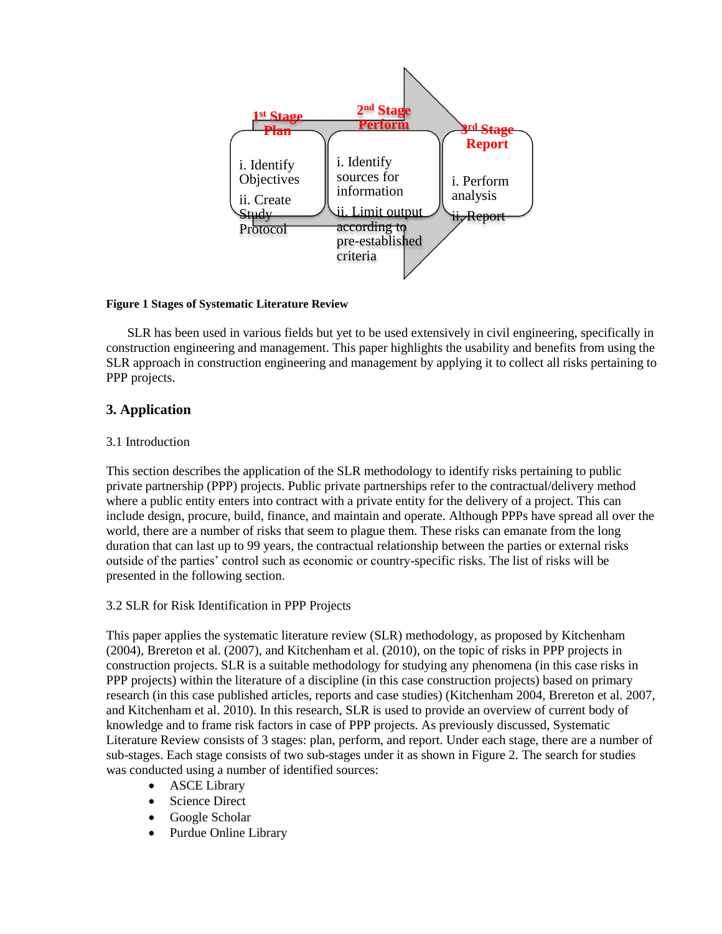

### **Figure 1 Stages of Systematic Literature Review**

SLR has been used in various fields but yet to be used extensively in civil engineering, specifically in construction engineering and management. This paper highlights the usability and benefits from using the SLR approach in construction engineering and management by applying it to collect all risks pertaining to PPP projects.

## **3. Application**

## 3.1 Introduction

This section describes the application of the SLR methodology to identify risks pertaining to public private partnership (PPP) projects. Public private partnerships refer to the contractual/delivery method where a public entity enters into contract with a private entity for the delivery of a project. This can include design, procure, build, finance, and maintain and operate. Although PPPs have spread all over the world, there are a number of risks that seem to plague them. These risks can emanate from the long duration that can last up to 99 years, the contractual relationship between the parties or external risks outside of the parties' control such as economic or country-specific risks. The list of risks will be presented in the following section.

## 3.2 SLR for Risk Identification in PPP Projects

This paper applies the systematic literature review (SLR) methodology, as proposed by Kitchenham (2004), Brereton et al. (2007), and Kitchenham et al. (2010), on the topic of risks in PPP projects in construction projects. SLR is a suitable methodology for studying any phenomena (in this case risks in PPP projects) within the literature of a discipline (in this case construction projects) based on primary research (in this case published articles, reports and case studies) (Kitchenham 2004, Brereton et al. 2007, and Kitchenham et al. 2010). In this research, SLR is used to provide an overview of current body of knowledge and to frame risk factors in case of PPP projects. As previously discussed, Systematic Literature Review consists of 3 stages: plan, perform, and report. Under each stage, there are a number of sub-stages. Each stage consists of two sub-stages under it as shown in Figure 2. The search for studies was conducted using a number of identified sources:

- ASCE Library
- Science Direct
- Google Scholar
- Purdue Online Library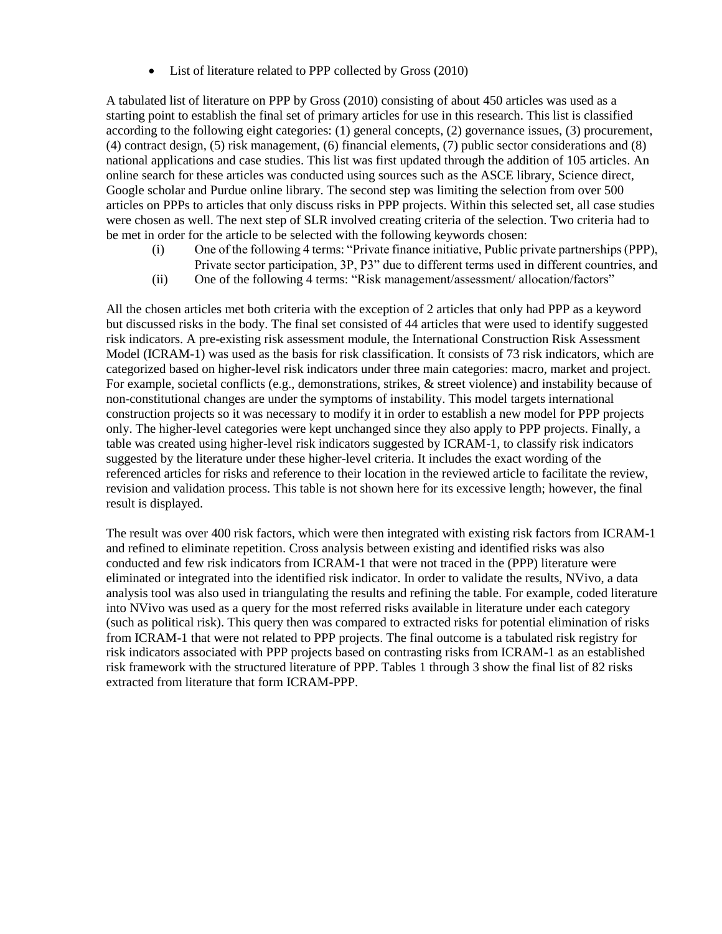• List of literature related to PPP collected by Gross (2010)

A tabulated list of literature on PPP by Gross (2010) consisting of about 450 articles was used as a starting point to establish the final set of primary articles for use in this research. This list is classified according to the following eight categories: (1) general concepts, (2) governance issues, (3) procurement, (4) contract design, (5) risk management, (6) financial elements, (7) public sector considerations and (8) national applications and case studies. This list was first updated through the addition of 105 articles. An online search for these articles was conducted using sources such as the ASCE library, Science direct, Google scholar and Purdue online library. The second step was limiting the selection from over 500 articles on PPPs to articles that only discuss risks in PPP projects. Within this selected set, all case studies were chosen as well. The next step of SLR involved creating criteria of the selection. Two criteria had to be met in order for the article to be selected with the following keywords chosen:

- (i) One of the following 4 terms: "Private finance initiative, Public private partnerships (PPP), Private sector participation, 3P, P3" due to different terms used in different countries, and
- (ii) One of the following 4 terms: "Risk management/assessment/ allocation/factors"

All the chosen articles met both criteria with the exception of 2 articles that only had PPP as a keyword but discussed risks in the body. The final set consisted of 44 articles that were used to identify suggested risk indicators. A pre-existing risk assessment module, the International Construction Risk Assessment Model (ICRAM-1) was used as the basis for risk classification. It consists of 73 risk indicators, which are categorized based on higher-level risk indicators under three main categories: macro, market and project. For example, societal conflicts (e.g., demonstrations, strikes, & street violence) and instability because of non-constitutional changes are under the symptoms of instability. This model targets international construction projects so it was necessary to modify it in order to establish a new model for PPP projects only. The higher-level categories were kept unchanged since they also apply to PPP projects. Finally, a table was created using higher-level risk indicators suggested by ICRAM-1, to classify risk indicators suggested by the literature under these higher-level criteria. It includes the exact wording of the referenced articles for risks and reference to their location in the reviewed article to facilitate the review, revision and validation process. This table is not shown here for its excessive length; however, the final result is displayed.

The result was over 400 risk factors, which were then integrated with existing risk factors from ICRAM-1 and refined to eliminate repetition. Cross analysis between existing and identified risks was also conducted and few risk indicators from ICRAM-1 that were not traced in the (PPP) literature were eliminated or integrated into the identified risk indicator. In order to validate the results, NVivo, a data analysis tool was also used in triangulating the results and refining the table. For example, coded literature into NVivo was used as a query for the most referred risks available in literature under each category (such as political risk). This query then was compared to extracted risks for potential elimination of risks from ICRAM-1 that were not related to PPP projects. The final outcome is a tabulated risk registry for risk indicators associated with PPP projects based on contrasting risks from ICRAM-1 as an established risk framework with the structured literature of PPP. Tables 1 through 3 show the final list of 82 risks extracted from literature that form ICRAM-PPP.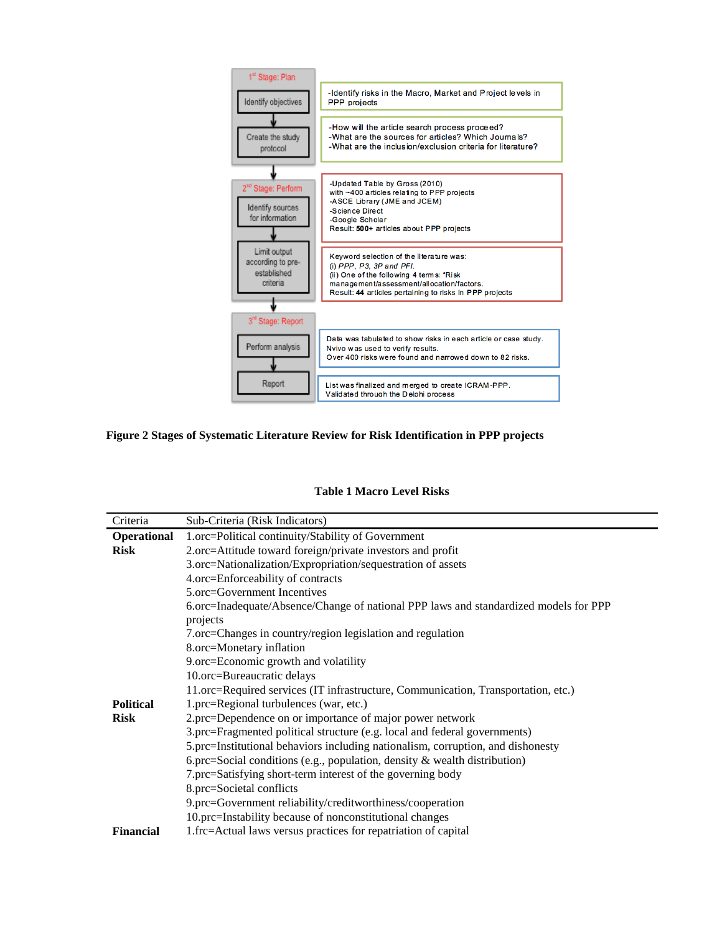

## **Figure 2 Stages of Systematic Literature Review for Risk Identification in PPP projects**

#### **Table 1 Macro Level Risks**

| Criteria           | Sub-Criteria (Risk Indicators)                                                       |
|--------------------|--------------------------------------------------------------------------------------|
| <b>Operational</b> | 1.orc=Political continuity/Stability of Government                                   |
| <b>Risk</b>        | 2.orc=Attitude toward foreign/private investors and profit                           |
|                    | 3.orc=Nationalization/Expropriation/sequestration of assets                          |
|                    | 4.orc=Enforceability of contracts                                                    |
|                    | 5.orc=Government Incentives                                                          |
|                    | 6.orc=Inadequate/Absence/Change of national PPP laws and standardized models for PPP |
|                    | projects                                                                             |
|                    | 7.orc=Changes in country/region legislation and regulation                           |
|                    | 8.orc=Monetary inflation                                                             |
|                    | 9.orc=Economic growth and volatility                                                 |
|                    | 10.orc=Bureaucratic delays                                                           |
|                    | 11.orc=Required services (IT infrastructure, Communication, Transportation, etc.)    |
| <b>Political</b>   | 1.prc=Regional turbulences (war, etc.)                                               |
| <b>Risk</b>        | 2.prc=Dependence on or importance of major power network                             |
|                    | 3.prc=Fragmented political structure (e.g. local and federal governments)            |
|                    | 5.prc=Institutional behaviors including nationalism, corruption, and dishonesty      |
|                    | 6.prc=Social conditions (e.g., population, density $\&$ wealth distribution)         |
|                    | 7.prc=Satisfying short-term interest of the governing body                           |
|                    | 8.prc=Societal conflicts                                                             |
|                    | 9.prc=Government reliability/creditworthiness/cooperation                            |
|                    | 10.prc=Instability because of nonconstitutional changes                              |
| <b>Financial</b>   | 1.frc=Actual laws versus practices for repatriation of capital                       |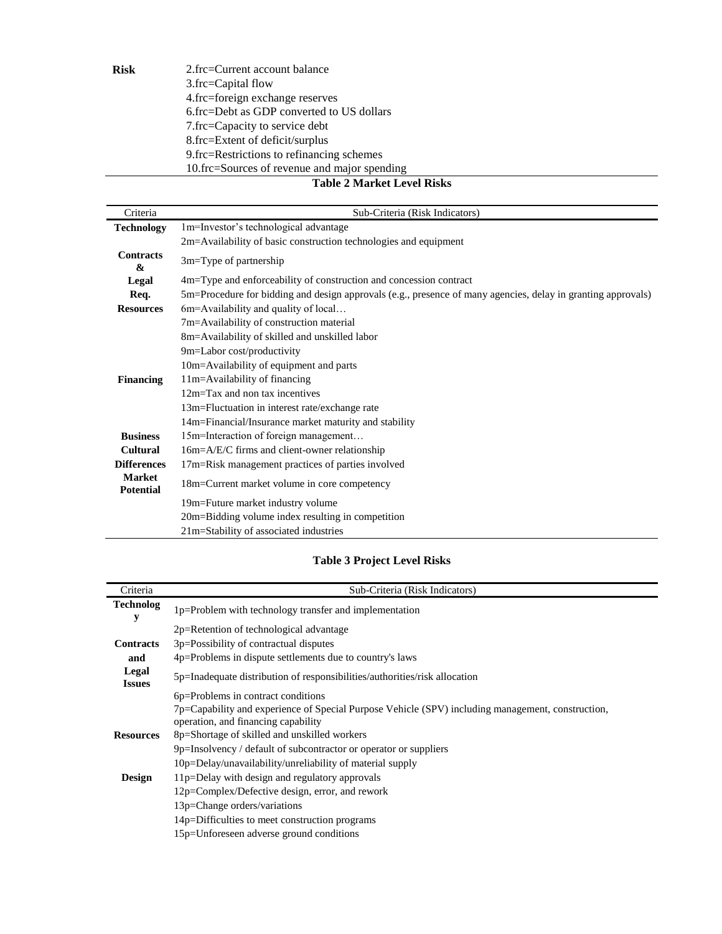| Risk | 2.frc=Current account balance                |
|------|----------------------------------------------|
|      | 3.frc=Capital flow                           |
|      | 4.frc=foreign exchange reserves              |
|      | 6.frc=Debt as GDP converted to US dollars    |
|      | 7.frc=Capacity to service debt               |
|      | 8.frc=Extent of deficit/surplus              |
|      | 9. frc=Restrictions to refinancing schemes   |
|      | 10.frc=Sources of revenue and major spending |

## **Table 2 Market Level Risks**

| Criteria                          | Sub-Criteria (Risk Indicators)                                                                               |
|-----------------------------------|--------------------------------------------------------------------------------------------------------------|
| <b>Technology</b>                 | 1m=Investor's technological advantage                                                                        |
|                                   | 2m=Availability of basic construction technologies and equipment                                             |
| <b>Contracts</b><br>&             | $3m$ =Type of partnership                                                                                    |
| Legal                             | 4m=Type and enforceability of construction and concession contract                                           |
| Req.                              | 5m=Procedure for bidding and design approvals (e.g., presence of many agencies, delay in granting approvals) |
| <b>Resources</b>                  | 6m=Availability and quality of local                                                                         |
|                                   | 7m=Availability of construction material                                                                     |
|                                   | 8m=Availability of skilled and unskilled labor                                                               |
|                                   | 9m=Labor cost/productivity                                                                                   |
|                                   | 10m=Availability of equipment and parts                                                                      |
| <b>Financing</b>                  | 11m=Availability of financing                                                                                |
|                                   | 12m=Tax and non tax incentives                                                                               |
|                                   | 13m=Fluctuation in interest rate/exchange rate                                                               |
|                                   | 14m=Financial/Insurance market maturity and stability                                                        |
| <b>Business</b>                   | 15m=Interaction of foreign management                                                                        |
| <b>Cultural</b>                   | 16m=A/E/C firms and client-owner relationship                                                                |
| <b>Differences</b>                | 17m=Risk management practices of parties involved                                                            |
| <b>Market</b><br><b>Potential</b> | 18m=Current market volume in core competency                                                                 |
|                                   | 19m=Future market industry volume                                                                            |
|                                   | 20m=Bidding volume index resulting in competition                                                            |
|                                   | 21m=Stability of associated industries                                                                       |

# **Table 3 Project Level Risks**

| Criteria               | Sub-Criteria (Risk Indicators)                                                                                                           |
|------------------------|------------------------------------------------------------------------------------------------------------------------------------------|
| <b>Technolog</b><br>у  | 1p=Problem with technology transfer and implementation                                                                                   |
|                        | 2p=Retention of technological advantage                                                                                                  |
| <b>Contracts</b>       | 3p=Possibility of contractual disputes                                                                                                   |
| and                    | 4p=Problems in dispute settlements due to country's laws                                                                                 |
| Legal<br><b>Issues</b> | 5p=Inadequate distribution of responsibilities/authorities/risk allocation                                                               |
|                        | 6p=Problems in contract conditions                                                                                                       |
|                        | 7p=Capability and experience of Special Purpose Vehicle (SPV) including management, construction,<br>operation, and financing capability |
| <b>Resources</b>       | 8p=Shortage of skilled and unskilled workers                                                                                             |
|                        | 9p=Insolvency / default of subcontractor or operator or suppliers                                                                        |
|                        | 10p=Delay/unavailability/unreliability of material supply                                                                                |
| <b>Design</b>          | 11p=Delay with design and regulatory approvals                                                                                           |
|                        | 12p=Complex/Defective design, error, and rework                                                                                          |
|                        | 13p=Change orders/variations                                                                                                             |
|                        | 14p=Difficulties to meet construction programs                                                                                           |
|                        | 15p=Unforeseen adverse ground conditions                                                                                                 |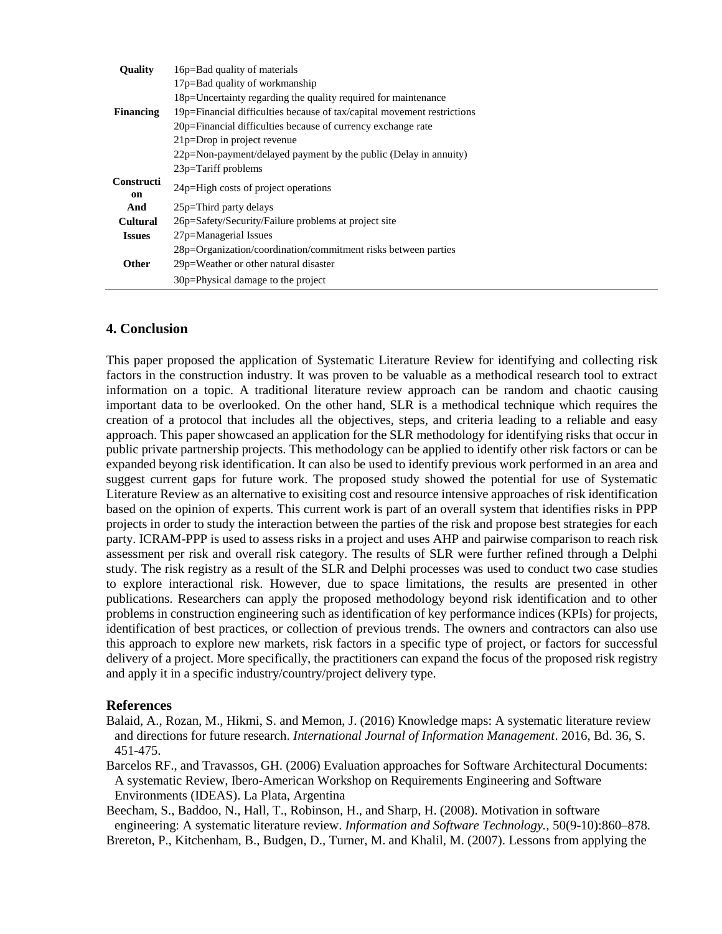| <b>Quality</b>          | 16p=Bad quality of materials                                            |
|-------------------------|-------------------------------------------------------------------------|
|                         | 17p=Bad quality of workmanship                                          |
|                         | 18p=Uncertainty regarding the quality required for maintenance          |
| <b>Financing</b>        | 19p=Financial difficulties because of tax/capital movement restrictions |
|                         | 20p=Financial difficulties because of currency exchange rate            |
|                         | $21p = Drop$ in project revenue                                         |
|                         | $22p$ =Non-payment/delayed payment by the public (Delay in annuity)     |
|                         | $23p=Tariff$ problems                                                   |
| <b>Constructi</b><br>on | 24p=High costs of project operations                                    |
| And                     | 25p=Third party delays                                                  |
| Cultural                | 26p=Safety/Security/Failure problems at project site                    |
| <b>Issues</b>           | 27p=Managerial Issues                                                   |
|                         | 28p=Organization/coordination/commitment risks between parties          |
| Other                   | 29p=Weather or other natural disaster                                   |
|                         | 30p=Physical damage to the project                                      |

## **4. Conclusion**

This paper proposed the application of Systematic Literature Review for identifying and collecting risk factors in the construction industry. It was proven to be valuable as a methodical research tool to extract information on a topic. A traditional literature review approach can be random and chaotic causing important data to be overlooked. On the other hand, SLR is a methodical technique which requires the creation of a protocol that includes all the objectives, steps, and criteria leading to a reliable and easy approach. This paper showcased an application for the SLR methodology for identifying risks that occur in public private partnership projects. This methodology can be applied to identify other risk factors or can be expanded beyong risk identification. It can also be used to identify previous work performed in an area and suggest current gaps for future work. The proposed study showed the potential for use of Systematic Literature Review as an alternative to exisiting cost and resource intensive approaches of risk identification based on the opinion of experts. This current work is part of an overall system that identifies risks in PPP projects in order to study the interaction between the parties of the risk and propose best strategies for each party. ICRAM-PPP is used to assess risks in a project and uses AHP and pairwise comparison to reach risk assessment per risk and overall risk category. The results of SLR were further refined through a Delphi study. The risk registry as a result of the SLR and Delphi processes was used to conduct two case studies to explore interactional risk. However, due to space limitations, the results are presented in other publications. Researchers can apply the proposed methodology beyond risk identification and to other problems in construction engineering such as identification of key performance indices (KPIs) for projects, identification of best practices, or collection of previous trends. The owners and contractors can also use this approach to explore new markets, risk factors in a specific type of project, or factors for successful delivery of a project. More specifically, the practitioners can expand the focus of the proposed risk registry and apply it in a specific industry/country/project delivery type.

## **References**

- Balaid, A., Rozan, M., Hikmi, S. and Memon, J. (2016) Knowledge maps: A systematic literature review and directions for future research. *International Journal of Information Management*. 2016, Bd. 36, S. 451-475.
- Barcelos RF., and Travassos, GH. (2006) Evaluation approaches for Software Architectural Documents: A systematic Review, Ibero-American Workshop on Requirements Engineering and Software Environments (IDEAS). La Plata, Argentina

Beecham, S., Baddoo, N., Hall, T., Robinson, H., and Sharp, H. (2008). Motivation in software engineering: A systematic literature review. *Information and Software Technology.,* 50(9-10):860–878. Brereton, P., Kitchenham, B., Budgen, D., Turner, M. and Khalil, M. (2007). Lessons from applying the